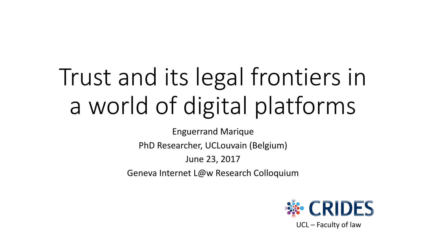# Trust and its legal frontiers in a world of digital platforms

Enguerrand Marique

PhD Researcher, UCLouvain (Belgium)

June 23, 2017

Geneva Internet L@w Research Colloquium



UCL – Faculty of law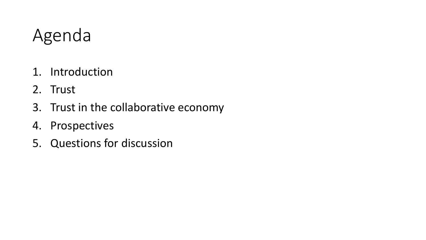## Agenda

- 1. Introduction
- 2. Trust
- 3. Trust in the collaborative economy
- 4. Prospectives
- 5. Questions for discussion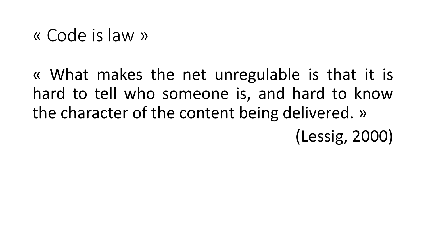« Code is law »

« What makes the net unregulable is that it is hard to tell who someone is, and hard to know the character of the content being delivered. » (Lessig, 2000)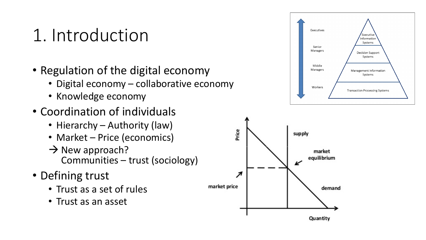### 1. Introduction

- Regulation of the digital economy
	- Digital economy collaborative economy
	- Knowledge economy
- Coordination of individuals
	- Hierarchy Authority (law)
	- Market Price (economics)
	- $\rightarrow$  New approach? Communities – trust (sociology)
- Defining trust
	- Trust as a set of rules
	- Trust as an asset



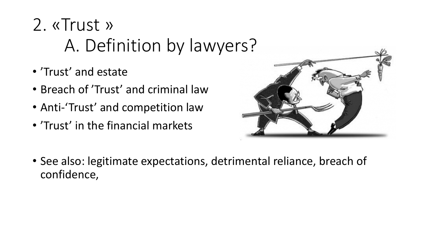# 2. «Trust » A. Definition by lawyers?

- 'Trust' and estate
- Breach of 'Trust' and criminal law
- Anti-'Trust' and competition law
- 'Trust' in the financial markets



• See also: legitimate expectations, detrimental reliance, breach of confidence,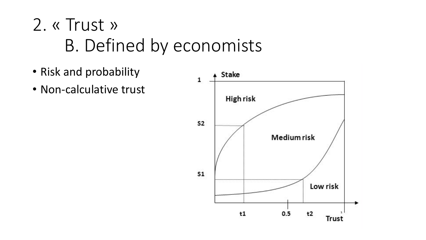# 2. « Trust » B. Defined by economists

- Risk and probability
- Non-calculative trust

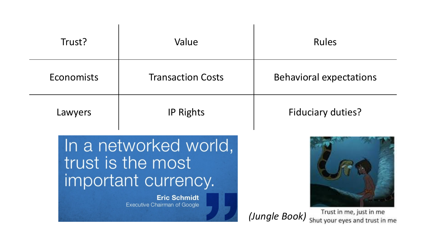| Trust?                                                                                                                   | Value                    | <b>Rules</b>                                                               |  |
|--------------------------------------------------------------------------------------------------------------------------|--------------------------|----------------------------------------------------------------------------|--|
| Economists                                                                                                               | <b>Transaction Costs</b> | <b>Behavioral expectations</b>                                             |  |
| Lawyers                                                                                                                  | <b>IP Rights</b>         | <b>Fiduciary duties?</b>                                                   |  |
| In a networked world,<br>trust is the most<br>important currency.<br><b>Eric Schmidt</b><br>Executive Chairman of Google |                          | Trust in me, just in me<br>(Jungle Book)<br>Shut your eves and trust in me |  |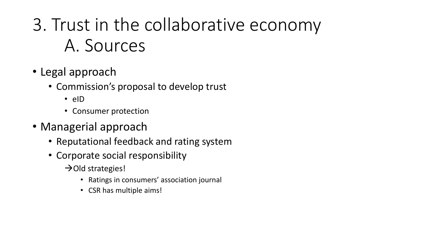# 3. Trust in the collaborative economy A. Sources

- Legal approach
	- Commission's proposal to develop trust
		- eID
		- Consumer protection
- Managerial approach
	- Reputational feedback and rating system
	- Corporate social responsibility
		- $\rightarrow$ Old strategies!
			- Ratings in consumers' association journal
			- CSR has multiple aims!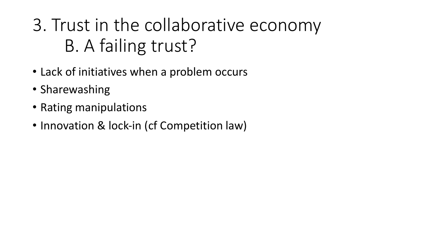# 3. Trust in the collaborative economy B. A failing trust?

- Lack of initiatives when a problem occurs
- Sharewashing
- Rating manipulations
- Innovation & lock-in (cf Competition law)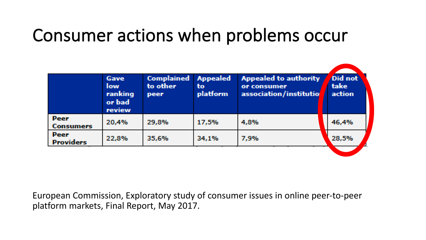#### Consumer actions when problems occur

|                          | Gave<br><b>low</b><br>ranking<br>or bad<br>review | <b>Complained</b><br>to other<br>peer | <b>Appealed</b><br>to<br>platform | <b>Appealed to authority</b><br>or consumer<br>association/institutio | Did not<br>take<br>action |
|--------------------------|---------------------------------------------------|---------------------------------------|-----------------------------------|-----------------------------------------------------------------------|---------------------------|
| Peer<br>Consumers        | 20,4%                                             | 29,8%                                 | 17,5%                             | 4,8%                                                                  | 46,4%                     |
| Peer<br><b>Providers</b> | 22,8%                                             | 35,6%                                 | 34,1%                             | 7,9%                                                                  | 28,5%                     |

European Commission, Exploratory study of consumer issues in online peer-to-peer platform markets, Final Report, May 2017.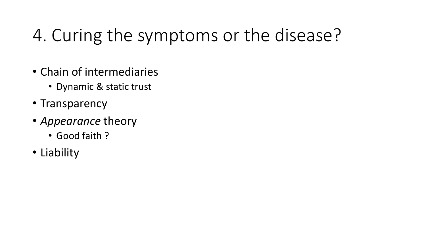# 4. Curing the symptoms or the disease?

- Chain of intermediaries
	- Dynamic & static trust
- Transparency
- *Appearance* theory
	- Good faith ?
- Liability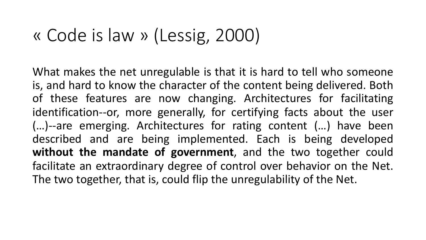#### « Code is law » (Lessig, 2000)

What makes the net unregulable is that it is hard to tell who someone is, and hard to know the character of the content being delivered. Both of these features are now changing. Architectures for facilitating identification--or, more generally, for certifying facts about the user (…)--are emerging. Architectures for rating content (…) have been described and are being implemented. Each is being developed **without the mandate of government**, and the two together could facilitate an extraordinary degree of control over behavior on the Net. The two together, that is, could flip the unregulability of the Net.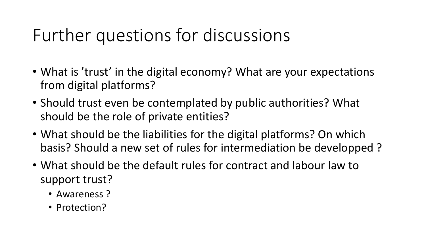# Further questions for discussions

- What is 'trust' in the digital economy? What are your expectations from digital platforms?
- Should trust even be contemplated by public authorities? What should be the role of private entities?
- What should be the liabilities for the digital platforms? On which basis? Should a new set of rules for intermediation be developped ?
- What should be the default rules for contract and labour law to support trust?
	- Awareness ?
	- Protection?